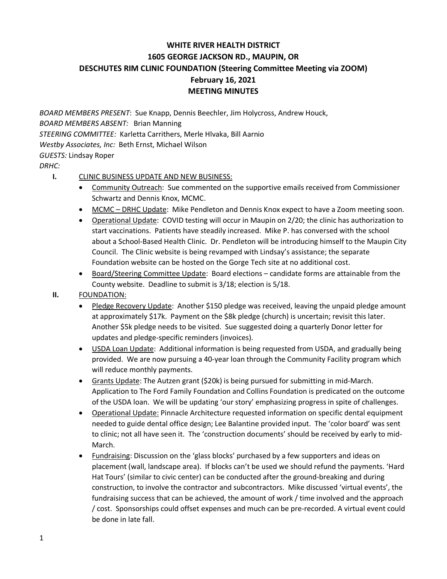## **WHITE RIVER HEALTH DISTRICT 1605 GEORGE JACKSON RD., MAUPIN, OR DESCHUTES RIM CLINIC FOUNDATION (Steering Committee Meeting via ZOOM) February 16, 2021 MEETING MINUTES**

*BOARD MEMBERS PRESENT*: Sue Knapp, Dennis Beechler, Jim Holycross, Andrew Houck, *BOARD MEMBERS ABSENT:* Brian Manning *STEERING COMMITTEE:* Karletta Carrithers, Merle Hlvaka, Bill Aarnio *Westby Associates, Inc:* Beth Ernst, Michael Wilson *GUESTS:* Lindsay Roper

*DRHC:*

## **I.** CLINIC BUSINESS UPDATE AND NEW BUSINESS:

- Community Outreach: Sue commented on the supportive emails received from Commissioner Schwartz and Dennis Knox, MCMC.
- MCMC DRHC Update: Mike Pendleton and Dennis Knox expect to have a Zoom meeting soon.
- Operational Update: COVID testing will occur in Maupin on 2/20; the clinic has authorization to start vaccinations. Patients have steadily increased. Mike P. has conversed with the school about a School-Based Health Clinic. Dr. Pendleton will be introducing himself to the Maupin City Council. The Clinic website is being revamped with Lindsay's assistance; the separate Foundation website can be hosted on the Gorge Tech site at no additional cost.
- Board/Steering Committee Update: Board elections candidate forms are attainable from the County website. Deadline to submit is 3/18; election is 5/18.
- **II.** FOUNDATION:
	- Pledge Recovery Update: Another \$150 pledge was received, leaving the unpaid pledge amount at approximately \$17k. Payment on the \$8k pledge (church) is uncertain; revisit this later. Another \$5k pledge needs to be visited. Sue suggested doing a quarterly Donor letter for updates and pledge-specific reminders (invoices).
	- USDA Loan Update: Additional information is being requested from USDA, and gradually being provided. We are now pursuing a 40-year loan through the Community Facility program which will reduce monthly payments.
	- Grants Update: The Autzen grant (\$20k) is being pursued for submitting in mid-March. Application to The Ford Family Foundation and Collins Foundation is predicated on the outcome of the USDA loan. We will be updating 'our story' emphasizing progress in spite of challenges.
	- Operational Update: Pinnacle Architecture requested information on specific dental equipment needed to guide dental office design; Lee Balantine provided input. The 'color board' was sent to clinic; not all have seen it. The 'construction documents' should be received by early to mid-March.
	- Fundraising: Discussion on the 'glass blocks' purchased by a few supporters and ideas on placement (wall, landscape area). If blocks can't be used we should refund the payments. 'Hard Hat Tours' (similar to civic center) can be conducted after the ground-breaking and during construction, to involve the contractor and subcontractors. Mike discussed 'virtual events', the fundraising success that can be achieved, the amount of work / time involved and the approach / cost. Sponsorships could offset expenses and much can be pre-recorded. A virtual event could be done in late fall.